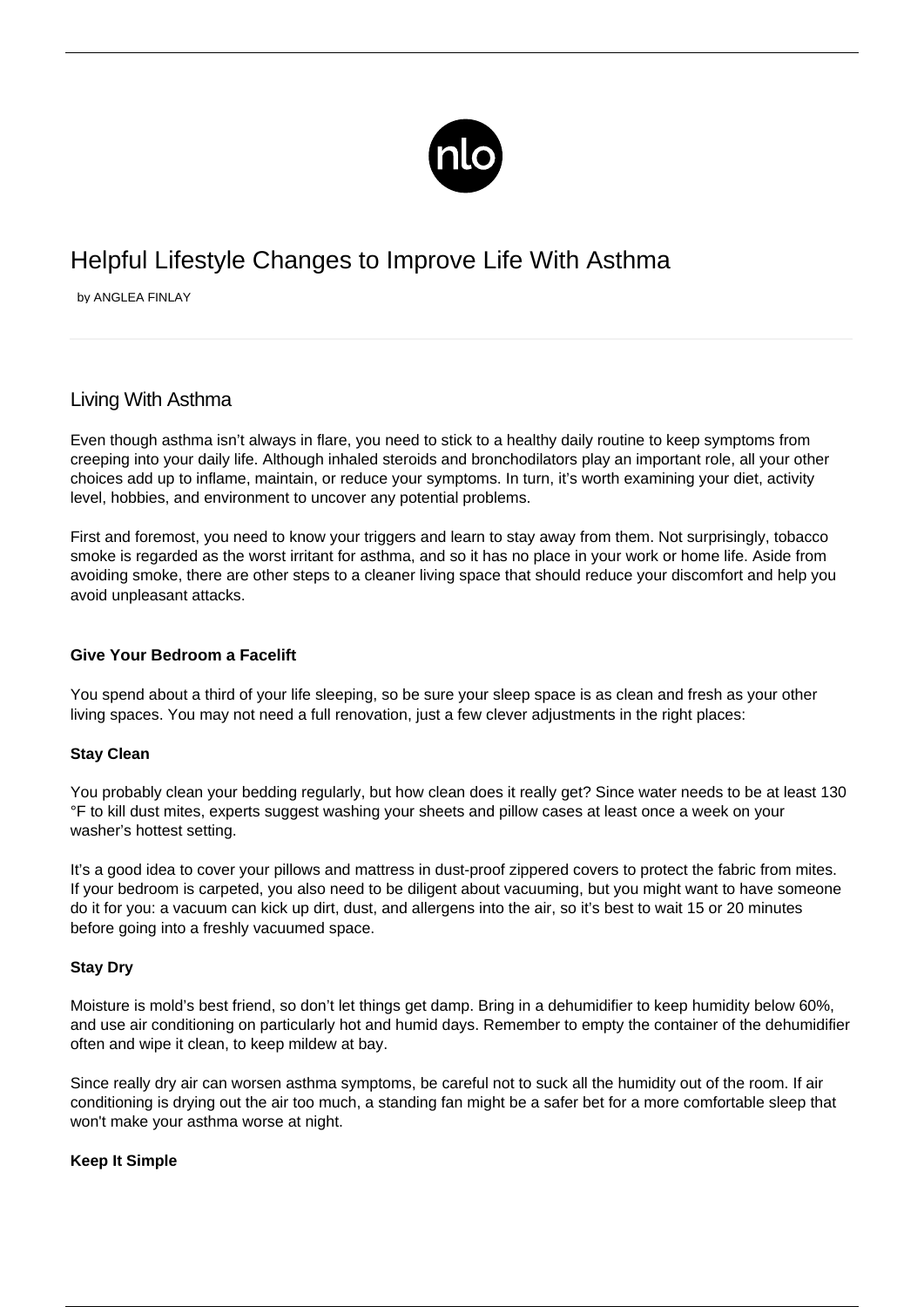

# Helpful Lifestyle Changes to Improve Life With Asthma

by ANGLEA FINLAY

# Living With Asthma

Even though asthma isn't always in flare, you need to stick to a healthy daily routine to keep symptoms from creeping into your daily life. Although inhaled steroids and bronchodilators play an important role, all your other choices add up to inflame, maintain, or reduce your symptoms. In turn, it's worth examining your diet, activity level, hobbies, and environment to uncover any potential problems.

First and foremost, you need to know your triggers and learn to stay away from them. Not surprisingly, tobacco smoke is regarded as the worst irritant for asthma, and so it has no place in your work or home life. Aside from avoiding smoke, there are other steps to a cleaner living space that should reduce your discomfort and help you avoid unpleasant attacks.

# **Give Your Bedroom a Facelift**

You spend about a third of your life sleeping, so be sure your sleep space is as clean and fresh as your other living spaces. You may not need a full renovation, just a few clever adjustments in the right places:

# **Stay Clean**

You probably clean your bedding regularly, but how clean does it really get? Since water needs to be at least 130 °F to kill dust mites, experts suggest washing your sheets and pillow cases at least once a week on your washer's hottest setting.

It's a good idea to cover your pillows and mattress in dust-proof zippered covers to protect the fabric from mites. If your bedroom is carpeted, you also need to be diligent about vacuuming, but you might want to have someone do it for you: a vacuum can kick up dirt, dust, and allergens into the air, so it's best to wait 15 or 20 minutes before going into a freshly vacuumed space.

# **Stay Dry**

Moisture is mold's best friend, so don't let things get damp. Bring in a dehumidifier to keep humidity below 60%, and use air conditioning on particularly hot and humid days. Remember to empty the container of the dehumidifier often and wipe it clean, to keep mildew at bay.

Since really dry air can worsen asthma symptoms, be careful not to suck all the humidity out of the room. If air conditioning is drying out the air too much, a standing fan might be a safer bet for a more comfortable sleep that won't make your [asthma worse at night](/sleeping-with-asthma/).

# **Keep It Simple**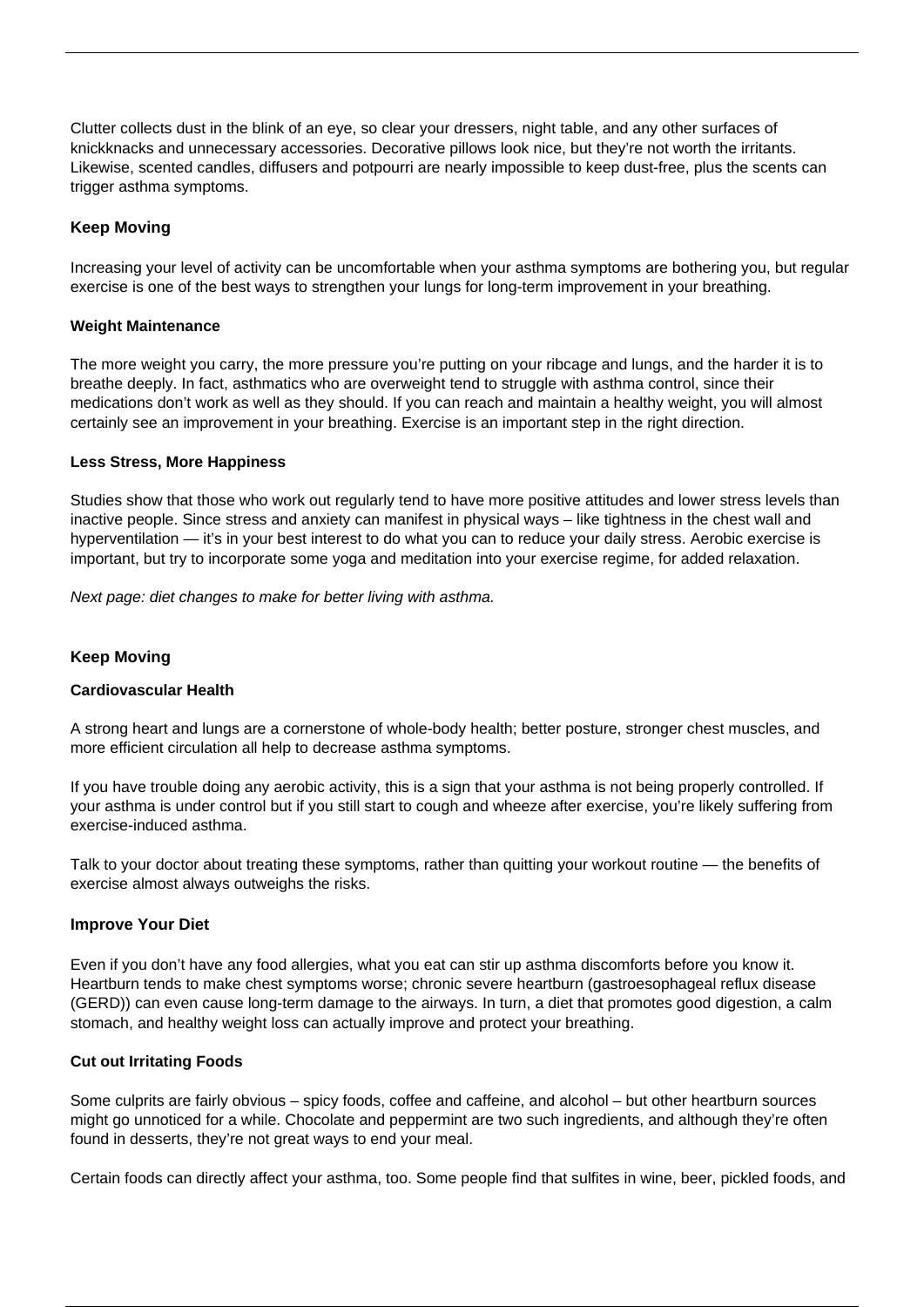Clutter collects dust in the blink of an eye, so clear your dressers, night table, and any other surfaces of knickknacks and unnecessary accessories. Decorative pillows look nice, but they're not worth the irritants. Likewise, scented candles, diffusers and potpourri are nearly impossible to keep dust-free, plus the scents can trigger asthma symptoms.

# **Keep Moving**

Increasing your level of activity can be uncomfortable when your asthma symptoms are bothering you, but regular exercise is one of the best ways to strengthen your lungs for long-term improvement in your breathing.

#### **Weight Maintenance**

The more weight you carry, the more pressure you're putting on your ribcage and lungs, and the harder it is to breathe deeply. In fact, asthmatics who are overweight tend to struggle with asthma control, since their medications don't work as well as they should. If you can reach and maintain a healthy weight, you will almost certainly see an improvement in your breathing. Exercise is an important step in the right direction.

#### **Less Stress, More Happiness**

Studies show that those who work out regularly tend to have more positive attitudes and lower stress levels than inactive people. Since stress and anxiety can manifest in physical ways – like tightness in the chest wall and hyperventilation — it's in your best interest to do what you can to reduce your daily stress. Aerobic exercise is important, but try to incorporate some yoga and meditation into your exercise regime, for added relaxation.

Next page: diet changes to make for better living with asthma.

# **Keep Moving**

#### **Cardiovascular Health**

A strong heart and lungs are a cornerstone of whole-body health; better posture, stronger chest muscles, and more efficient circulation all help to decrease asthma symptoms.

If you have trouble doing any aerobic activity, this is a sign that your asthma is not being properly controlled. If your asthma is under control but if you still start to cough and wheeze after exercise, you're likely suffering from exercise-induced asthma.

Talk to your doctor about treating these symptoms, rather than quitting your workout routine — the benefits of exercise almost always outweighs the risks.

#### **Improve Your Diet**

Even if you don't have any food allergies, what you eat can stir up asthma discomforts before you know it. Heartburn tends to make chest symptoms worse; chronic severe heartburn [\(gastroesophageal reflux disease](/asthma-and-gerd/) [\(GERD\)\)](/asthma-and-gerd/) can even cause long-term damage to the airways. In turn, a diet that promotes good digestion, a calm stomach, and healthy weight loss can actually improve and protect your breathing.

#### **Cut out Irritating Foods**

Some culprits are fairly obvious – spicy foods, [coffee and caffeine](/coffee-asthma/), and alcohol – but other heartburn sources might go unnoticed for a while. Chocolate and peppermint are two such ingredients, and although they're often found in desserts, they're not great ways to end your meal.

Certain foods can directly affect your asthma, too. Some people find that sulfites in wine, beer, pickled foods, and